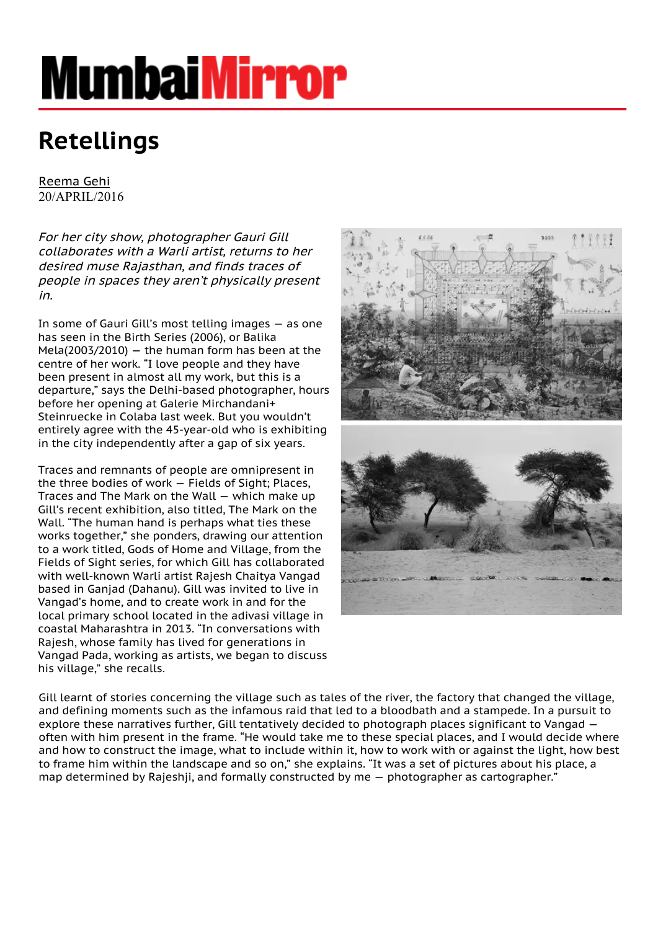## **MumbaiMirror**

## **Retellings**

[Reema Gehi](https://mumbaimirror.indiatimes.com/author/author-reema-gehi-479215209.cms) 20/APRIL/2016

For her city show, photographer Gauri Gill collaborates with a Warli artist, returns to her desired muse Rajasthan, and finds traces of people in spaces they aren't physically present in.

In some of Gauri Gill's most telling images — as one has seen in the Birth Series (2006), or Balika Mela(2003/2010)  $-$  the human form has been at the centre of her work. "I love people and they have been present in almost all my work, but this is a departure," says the Delhi-based photographer, hours before her opening at Galerie Mirchandani+ Steinruecke in Colaba last week. But you wouldn't entirely agree with the 45-year-old who is exhibiting in the city independently after a gap of six years.

Traces and remnants of people are omnipresent in the three bodies of work — Fields of Sight; Places, Traces and The Mark on the Wall — which make up Gill's recent exhibition, also titled, The Mark on the Wall. "The human hand is perhaps what ties these works together," she ponders, drawing our attention to a work titled, Gods of Home and Village, from the Fields of Sight series, for which Gill has collaborated with well-known Warli artist Rajesh Chaitya Vangad based in Ganjad (Dahanu). Gill was invited to live in Vangad's home, and to create work in and for the local primary school located in the adivasi village in coastal Maharashtra in 2013. "In conversations with Rajesh, whose family has lived for generations in Vangad Pada, working as artists, we began to discuss his village," she recalls.



Gill learnt of stories concerning the village such as tales of the river, the factory that changed the village, and defining moments such as the infamous raid that led to a bloodbath and a stampede. In a pursuit to explore these narratives further, Gill tentatively decided to photograph places significant to Vangad often with him present in the frame. "He would take me to these special places, and I would decide where and how to construct the image, what to include within it, how to work with or against the light, how best to frame him within the landscape and so on," she explains. "It was a set of pictures about his place, a map determined by Rajeshji, and formally constructed by me — photographer as cartographer."